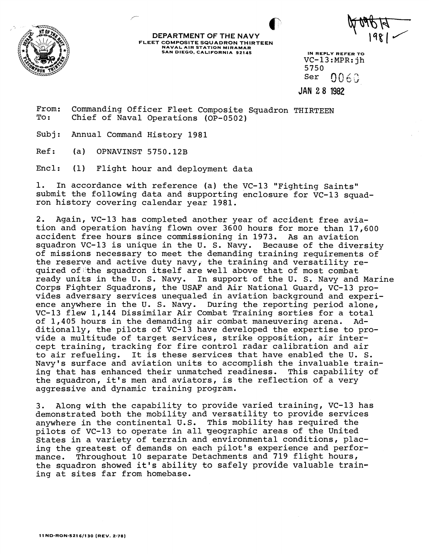

**DEPARTMENT OF THE NAVY FLEET COMPOSITE SQUADRON THIRTEEN SAN DIEGO. CALIFORNIA 92145 IN REPLY REFER TO** 

VC-13:MPR:jh 5750<br>Ser 0060

**JAN 2 8 1982** 

From: Commanding Officer Fleet Composite Squadron THIRTEEN To : Chief of Naval Operations (OP-0502)

Subj: Annual Command History 1981

Ref: (a) OPNAVINST 5750.12B

Encl: (1) Flight hour and deployment data

1. In accordance with reference (a) the VC-13 "Fighting Saints" submit the following data and supporting enclosure for VC-13 squadron history covering calendar year 1981.

2. Again, VC-13 has completed another year of accident free aviation and operation having flown over 3600 hours for more than 17,600 accident free hours since commissioning in 1973. As an aviation squadron VC-13 is unique in the U. S. Navy. Because of the diversity of missions necessary to meet the demanding training requirements of the reserve and active duty navy, the training and versatility required of the squadron itself are well above that of most combat ready units in the U. S. Navy. In support of the U. S. Navy and Marine Corps Fighter Squadrons, the USAF and Air National Guard, VC-13 provides adversary services unequaled in aviation background and experience anywhere in the U. S. Navy. During the reporting period alone, VC-13 flew 1,144 Dissimilar Air Combat Training sorties for a total of 1,405 hours in the demanding air combat maneuvering arena. Additionally, the pilots of VC-13 have developed the expertise to provide a multitude of target services, strike opposition, air intercept training, tracking for fire control radar calibration and air to air refueling. It is these services that have enabled the U. S. Navy's surface and aviation units to accomplish the invaluable training that has enhanced their unmatched readiness. This capability of the squadron, it's men and aviators, is the reflection of a very aggressive and dynamic training program.

3. Along with the capability to provide varied training, VC-13 has demonstrated both the mobility and versatility to provide services anywhere in the continental U.S. This mobility has required the pilots of VC-13 to operate in all geographic areas of the United States in a variety of terrain and environmental conditions, placing the greatest of demands on each pilot's experience and performance. Throughout 10 separate Detachments and 719 flight hours, the squadron showed it's ability to safely provide valuable training at sites far from homebase.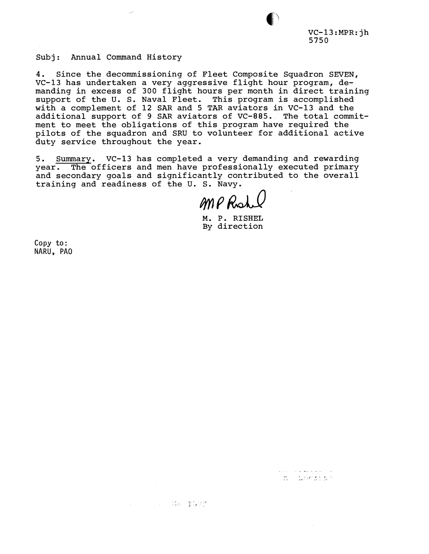$VC-13:MPR:jh$ 5750

**TEL LOCEDES** 

Subj: Annual Command History

4. Since the decommissioning of Fleet Composite Squadron SEVEN, VC-13 has undertaken a very aggressive flight hour program, demanding in excess of 300 flight hours per month in direct training support of the U. S. Naval Fleet. This program is accomplished with a complement of 12 SAR and 5 TAR aviators in VC-13 and the additional support of 9 SAR aviators of VC-885. The total commitment to meet the obligations of this program have required the pilots of the squadron and SRU to volunteer for additional active duty service throughout the year.

5. Summary. VC-13 has completed a very demanding and rewarding year. The officers and men have professionally executed primary and secondary goals and significantly contributed to the overall training and readiness of the U. S. Navy.

**The Same Tarty** 

MP Rus

M. P. RISHEL By direction

Copy to: NARU, PA0